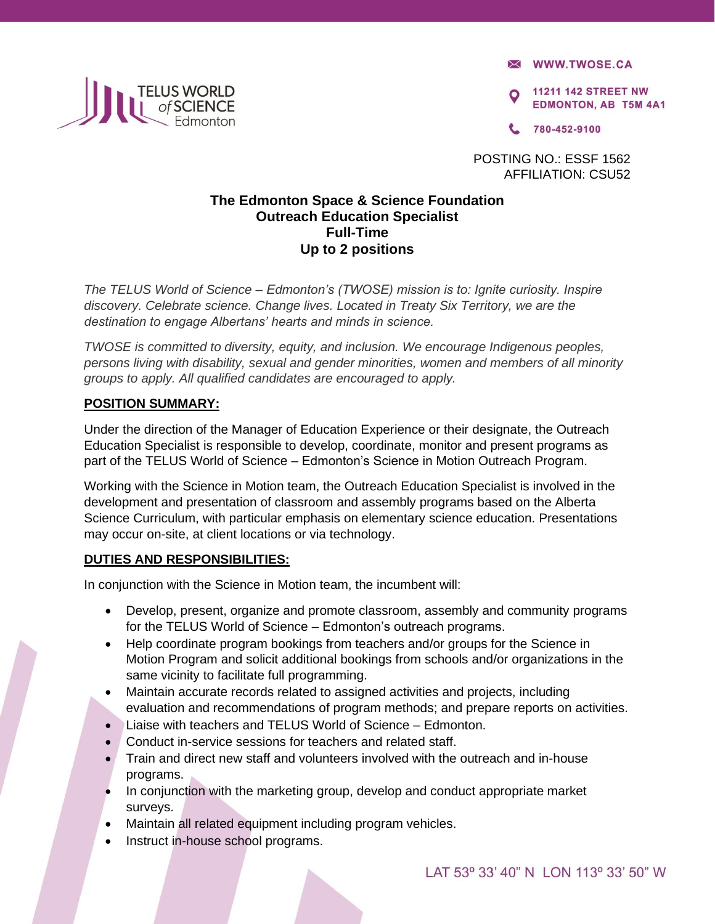**X WWW.TWOSE.CA** 

**11211 142 STREET NW EDMONTON, AB T5M 4A1** 

780-452-9100

POSTING NO.: ESSF 1562 AFFILIATION: CSU52

## **The Edmonton Space & Science Foundation Outreach Education Specialist Full-Time Up to 2 positions**

*The TELUS World of Science – Edmonton's (TWOSE) mission is to: Ignite curiosity. Inspire discovery. Celebrate science. Change lives. Located in Treaty Six Territory, we are the destination to engage Albertans' hearts and minds in science.* 

*TWOSE is committed to diversity, equity, and inclusion. We encourage Indigenous peoples, persons living with disability, sexual and gender minorities, women and members of all minority groups to apply. All qualified candidates are encouraged to apply.* 

## **POSITION SUMMARY:**

Under the direction of the Manager of Education Experience or their designate, the Outreach Education Specialist is responsible to develop, coordinate, monitor and present programs as part of the TELUS World of Science – Edmonton's Science in Motion Outreach Program.

Working with the Science in Motion team, the Outreach Education Specialist is involved in the development and presentation of classroom and assembly programs based on the Alberta Science Curriculum, with particular emphasis on elementary science education. Presentations may occur on-site, at client locations or via technology.

#### **DUTIES AND RESPONSIBILITIES:**

In conjunction with the Science in Motion team, the incumbent will:

- Develop, present, organize and promote classroom, assembly and community programs for the TELUS World of Science – Edmonton's outreach programs.
- Help coordinate program bookings from teachers and/or groups for the Science in Motion Program and solicit additional bookings from schools and/or organizations in the same vicinity to facilitate full programming.
- Maintain accurate records related to assigned activities and projects, including evaluation and recommendations of program methods; and prepare reports on activities.
- Liaise with teachers and TELUS World of Science Edmonton.
- Conduct in-service sessions for teachers and related staff.
- Train and direct new staff and volunteers involved with the outreach and in-house programs.
- In conjunction with the marketing group, develop and conduct appropriate market surveys.
- Maintain all related equipment including program vehicles.
- Instruct in-house school programs.